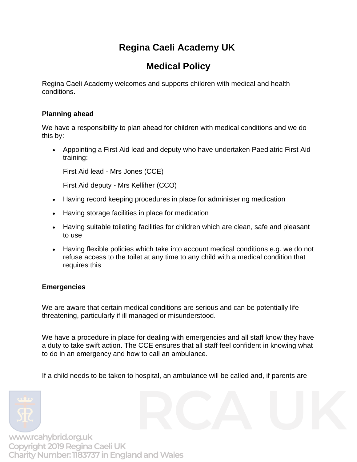# **Regina Caeli Academy UK**

# **Medical Policy**

Regina Caeli Academy welcomes and supports children with medical and health conditions.

# **Planning ahead**

We have a responsibility to plan ahead for children with medical conditions and we do this by:

• Appointing a First Aid lead and deputy who have undertaken Paediatric First Aid training:

First Aid lead - Mrs Jones (CCE)

First Aid deputy - Mrs Kelliher (CCO)

- Having record keeping procedures in place for administering medication
- Having storage facilities in place for medication
- Having suitable toileting facilities for children which are clean, safe and pleasant to use
- Having flexible policies which take into account medical conditions e.g. we do not refuse access to the toilet at any time to any child with a medical condition that requires this

# **Emergencies**

We are aware that certain medical conditions are serious and can be potentially lifethreatening, particularly if ill managed or misunderstood.

We have a procedure in place for dealing with emergencies and all staff know they have a duty to take swift action. The CCE ensures that all staff feel confident in knowing what to do in an emergency and how to call an ambulance.

If a child needs to be taken to hospital, an ambulance will be called and, if parents are

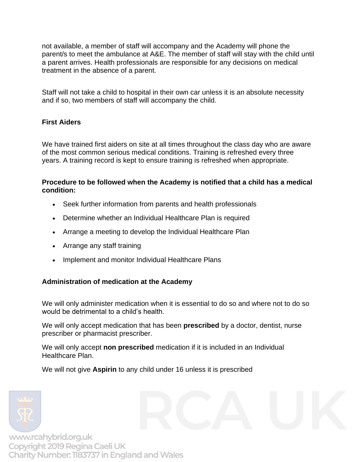not available, a member of staff will accompany and the Academy will phone the parent/s to meet the ambulance at A&E. The member of staff will stay with the child until a parent arrives. Health professionals are responsible for any decisions on medical treatment in the absence of a parent.

Staff will not take a child to hospital in their own car unless it is an absolute necessity and if so, two members of staff will accompany the child.

# **First Aiders**

We have trained first aiders on site at all times throughout the class day who are aware of the most common serious medical conditions. Training is refreshed every three years. A training record is kept to ensure training is refreshed when appropriate.

### **Procedure to be followed when the Academy is notified that a child has a medical condition:**

- Seek further information from parents and health professionals
- Determine whether an Individual Healthcare Plan is required
- Arrange a meeting to develop the Individual Healthcare Plan
- Arrange any staff training
- Implement and monitor Individual Healthcare Plans

# **Administration of medication at the Academy**

We will only administer medication when it is essential to do so and where not to do so would be detrimental to a child's health.

We will only accept medication that has been **prescribed** by a doctor, dentist, nurse prescriber or pharmacist prescriber.

We will only accept **non prescribed** medication if it is included in an Individual Healthcare Plan.

We will not give **Aspirin** to any child under 16 unless it is prescribed

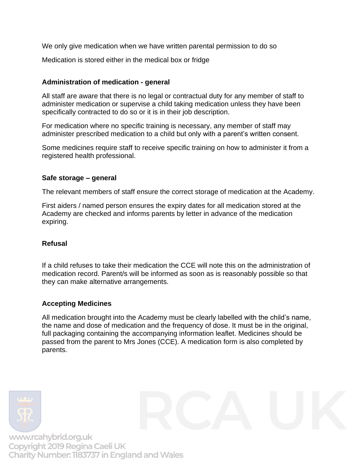We only give medication when we have written parental permission to do so

Medication is stored either in the medical box or fridge

### **Administration of medication - general**

All staff are aware that there is no legal or contractual duty for any member of staff to administer medication or supervise a child taking medication unless they have been specifically contracted to do so or it is in their job description.

For medication where no specific training is necessary, any member of staff may administer prescribed medication to a child but only with a parent's written consent.

Some medicines require staff to receive specific training on how to administer it from a registered health professional.

### **Safe storage – general**

The relevant members of staff ensure the correct storage of medication at the Academy.

First aiders / named person ensures the expiry dates for all medication stored at the Academy are checked and informs parents by letter in advance of the medication expiring.

## **Refusal**

If a child refuses to take their medication the CCE will note this on the administration of medication record. Parent/s will be informed as soon as is reasonably possible so that they can make alternative arrangements.

## **Accepting Medicines**

All medication brought into the Academy must be clearly labelled with the child's name, the name and dose of medication and the frequency of dose. It must be in the original, full packaging containing the accompanying information leaflet. Medicines should be passed from the parent to Mrs Jones (CCE). A medication form is also completed by parents.